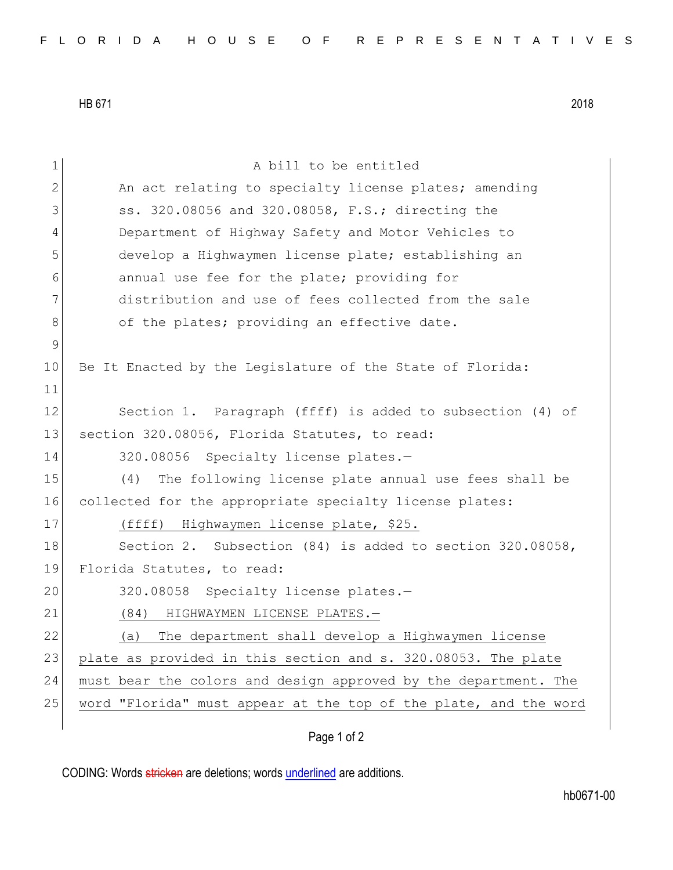HB 671 2018

| $\mathbf 1$ | A bill to be entitled                                            |
|-------------|------------------------------------------------------------------|
| 2           | An act relating to specialty license plates; amending            |
| 3           | ss. 320.08056 and 320.08058, F.S.; directing the                 |
| 4           | Department of Highway Safety and Motor Vehicles to               |
| 5           | develop a Highwaymen license plate; establishing an              |
| 6           | annual use fee for the plate; providing for                      |
| 7           | distribution and use of fees collected from the sale             |
| 8           | of the plates; providing an effective date.                      |
| 9           |                                                                  |
| 10          | Be It Enacted by the Legislature of the State of Florida:        |
| 11          |                                                                  |
| 12          | Section 1. Paragraph (ffff) is added to subsection (4) of        |
| 13          | section 320.08056, Florida Statutes, to read:                    |
| 14          | 320.08056 Specialty license plates.-                             |
| 15          | The following license plate annual use fees shall be<br>(4)      |
| 16          | collected for the appropriate specialty license plates:          |
| 17          | (ffff) Highwaymen license plate, \$25.                           |
| 18          | Section 2. Subsection (84) is added to section 320.08058,        |
| 19          | Florida Statutes, to read:                                       |
| 20          | 320.08058 Specialty license plates.-                             |
| 21          | (84)<br>HIGHWAYMEN LICENSE PLATES.-                              |
| 22          | The department shall develop a Highwaymen license<br>(a)         |
| 23          | plate as provided in this section and s. 320.08053. The plate    |
| 24          | must bear the colors and design approved by the department. The  |
| 25          | word "Florida" must appear at the top of the plate, and the word |
|             |                                                                  |

Page 1 of 2

CODING: Words stricken are deletions; words underlined are additions.